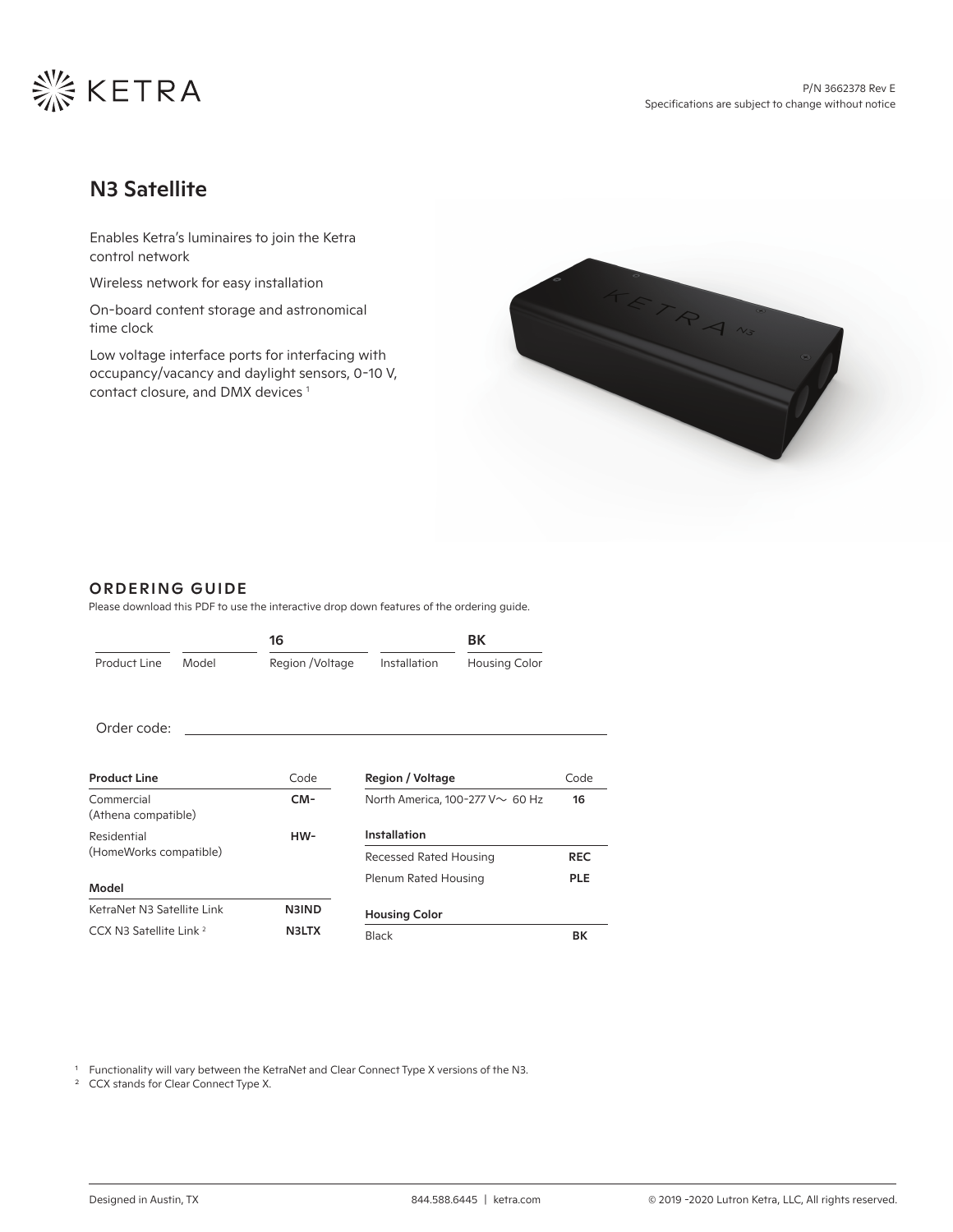

# N3 Satellite

Enables Ketra's luminaires to join the Ketra control network

Wireless network for easy installation

On-board content storage and astronomical time clock

Low voltage interface ports for interfacing with occupancy/vacancy and daylight sensors, 0-10 V, contact closure, and DMX devices 1



### ORDERING GUIDE

Please download this PDF to use the interactive drop down features of the ordering guide.

|                                       |       | 16               |                                       | BK                   |            |
|---------------------------------------|-------|------------------|---------------------------------------|----------------------|------------|
| Product Line                          | Model | Region / Voltage | Installation                          | <b>Housing Color</b> |            |
| Order code:                           |       | CM-N3IND16RECBK  |                                       |                      |            |
| <b>Product Line</b>                   |       | Code             | Region / Voltage                      |                      | Code       |
| Commercial<br>(Athena compatible)     |       | CM-              | North America, 100-277 V $\sim$ 60 Hz |                      | 16         |
| Residential<br>(HomeWorks compatible) |       | HW-              | Installation                          |                      |            |
|                                       |       |                  | Recessed Rated Housing                |                      | <b>REC</b> |
| Model                                 |       |                  | Plenum Rated Housing                  |                      | <b>PLE</b> |
| KetraNet N3 Satellite Link            |       | <b>N3IND</b>     | <b>Housing Color</b>                  |                      |            |
| CCX N3 Satellite Link <sup>2</sup>    |       | <b>N3LTX</b>     | <b>Black</b>                          |                      | BК         |

<sup>1</sup> Functionality will vary between the KetraNet and Clear Connect Type X versions of the N3.

<sup>2</sup> CCX stands for Clear Connect Type X.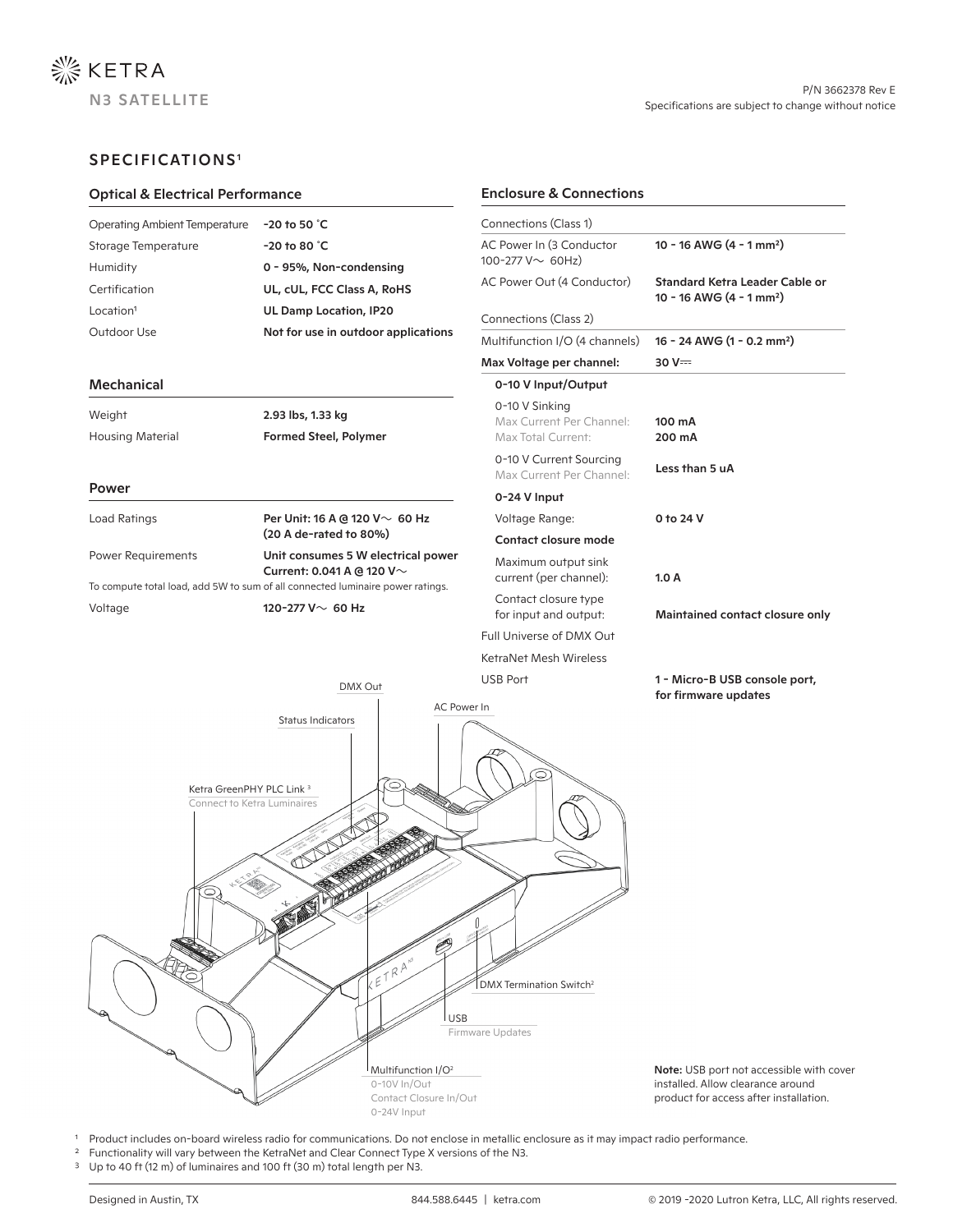

## SPECIFICATIONS1

| <b>Optical &amp; Electrical Performance</b>                                                                                                                                                                                                         |                                                   | <b>Enclosure &amp; Connections</b>                                                                                            |                                                       |             |
|-----------------------------------------------------------------------------------------------------------------------------------------------------------------------------------------------------------------------------------------------------|---------------------------------------------------|-------------------------------------------------------------------------------------------------------------------------------|-------------------------------------------------------|-------------|
| <b>Operating Ambient Temperature</b><br>$-20$ to 50 $°C$<br>$-20$ to 80 $°C$<br>Storage Temperature<br>Humidity<br>0 - 95%, Non-condensing<br>Certification<br>UL, cUL, FCC Class A, RoHS<br>Location <sup>1</sup><br><b>UL Damp Location, IP20</b> |                                                   | Connections (Class 1)                                                                                                         |                                                       |             |
|                                                                                                                                                                                                                                                     |                                                   | AC Power In (3 Conductor<br>100-277 $V \sim 60$ Hz)                                                                           | 10 - 16 AWG $(4 - 1)$ mm <sup>2</sup> )               |             |
|                                                                                                                                                                                                                                                     |                                                   | AC Power Out (4 Conductor)<br>Standard Ketra Leader Cable or<br>10 - 16 AWG (4 - 1 mm <sup>2</sup> )<br>Connections (Class 2) |                                                       |             |
|                                                                                                                                                                                                                                                     |                                                   |                                                                                                                               |                                                       | Outdoor Use |
|                                                                                                                                                                                                                                                     |                                                   | Max Voltage per channel:                                                                                                      | $30V =$                                               |             |
| <b>Mechanical</b>                                                                                                                                                                                                                                   |                                                   | 0-10 V Input/Output                                                                                                           |                                                       |             |
| Weight<br><b>Housing Material</b>                                                                                                                                                                                                                   | 2.93 lbs, 1.33 kg<br><b>Formed Steel, Polymer</b> | 0-10 V Sinking<br>Max Current Per Channel:<br>Max Total Current:                                                              | 100 mA<br>200 mA                                      |             |
|                                                                                                                                                                                                                                                     |                                                   | 0-10 V Current Sourcing<br>Max Current Per Channel:                                                                           | Less than 5 uA                                        |             |
| Power                                                                                                                                                                                                                                               |                                                   | 0-24 V Input                                                                                                                  |                                                       |             |
| Load Ratings                                                                                                                                                                                                                                        | Per Unit: 16 A @ 120 $V \sim 60$ Hz               | Voltage Range:                                                                                                                | 0 to 24 V                                             |             |
|                                                                                                                                                                                                                                                     | (20 A de-rated to 80%)                            | Contact closure mode                                                                                                          |                                                       |             |
| Power Requirements<br>Unit consumes 5 W electrical power<br>Current: 0.041 A @ 120 V~<br>To compute total load, add 5W to sum of all connected luminaire power ratings.                                                                             |                                                   | Maximum output sink<br>current (per channel):                                                                                 | 1.0A                                                  |             |
| 120-277 V $\sim$ 60 Hz<br>Voltage                                                                                                                                                                                                                   |                                                   | Contact closure type<br>for input and output:                                                                                 | Maintained contact closure only                       |             |
|                                                                                                                                                                                                                                                     |                                                   | Full Universe of DMX Out                                                                                                      |                                                       |             |
|                                                                                                                                                                                                                                                     |                                                   | KetraNet Mesh Wireless                                                                                                        |                                                       |             |
|                                                                                                                                                                                                                                                     | DMX Out<br>AC Power In                            | <b>USB Port</b>                                                                                                               | 1 - Micro-B USB console port,<br>for firmware updates |             |
| Ketra GreenPHY PLC Link <sup>3</sup><br>Connect to Ketra Luminaires                                                                                                                                                                                 | <b>Status Indicators</b>                          | 6                                                                                                                             |                                                       |             |

Note: USB port not accessible with cover installed. Allow clearance around product for access after installation.

<sup>1</sup> Product includes on-board wireless radio for communications. Do not enclose in metallic enclosure as it may impact radio performance.

0-10V In/Out Contact Closure In/Out 0-24V Input

Multifunction I/O<sup>2</sup>

l usb

Firmware Updates

DMX Termination Switch<sup>2</sup>

- <sup>2</sup> Functionality will vary between the KetraNet and Clear Connect Type X versions of the N3.
- <sup>3</sup> Up to 40 ft (12 m) of luminaires and 100 ft (30 m) total length per N3.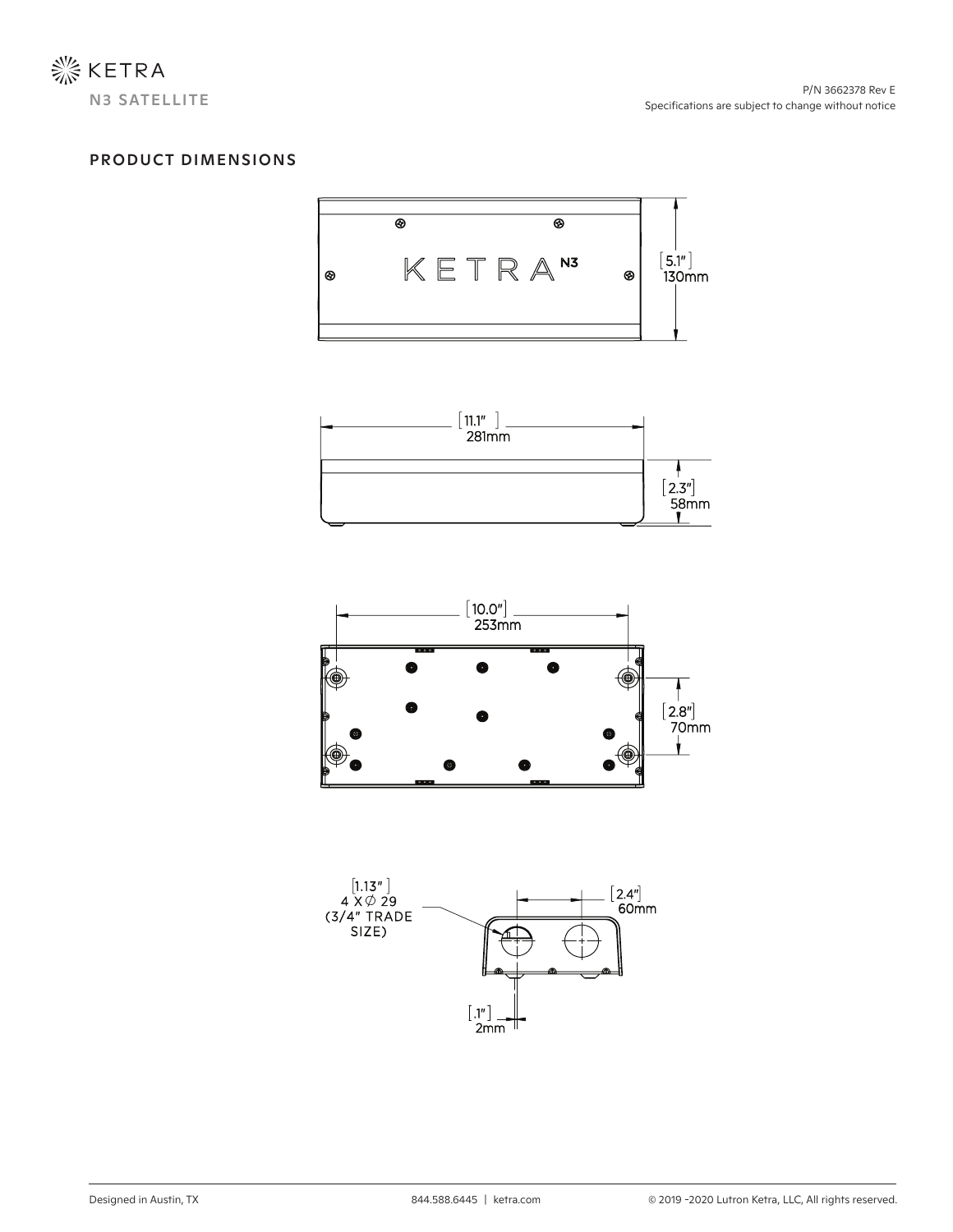

# PRODUCT DIMENSIONS